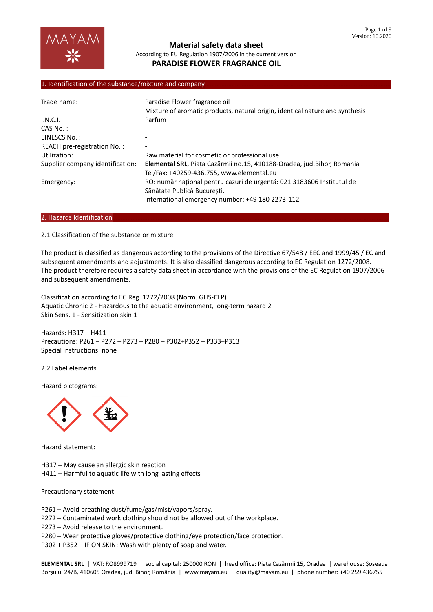

#### 1. Identification of the substance/mixture and company

| Trade name:                      | Paradise Flower fragrance oil<br>Mixture of aromatic products, natural origin, identical nature and synthesis                                             |
|----------------------------------|-----------------------------------------------------------------------------------------------------------------------------------------------------------|
| I.N.C.I.                         | Parfum                                                                                                                                                    |
| $CAS No.$ :                      |                                                                                                                                                           |
| EINESCS No.:                     |                                                                                                                                                           |
| REACH pre-registration No.:      |                                                                                                                                                           |
| Utilization:                     | Raw material for cosmetic or professional use                                                                                                             |
| Supplier company identification: | Elemental SRL, Piața Cazărmii no.15, 410188-Oradea, jud. Bihor, Romania<br>Tel/Fax: +40259-436.755, www.elemental.eu                                      |
| Emergency:                       | RO: număr național pentru cazuri de urgență: 021 3183606 Institutul de<br>Sănătate Publică Bucuresti.<br>International emergency number: +49 180 2273-112 |

#### 2. Hazards Identification

2.1 Classification of the substance or mixture

The product is classified as dangerous according to the provisions of the Directive 67/548 / EEC and 1999/45 / EC and subsequent amendments and adjustments. It is also classified dangerous according to EC Regulation 1272/2008. The product therefore requires a safety data sheet in accordance with the provisions of the EC Regulation 1907/2006 and subsequent amendments.

Classification according to EC Reg. 1272/2008 (Norm. GHS-CLP) Aquatic Chronic 2 - Hazardous to the aquatic environment, long-term hazard 2 Skin Sens. 1 - Sensitization skin 1

Hazards: H317 – H411 Precautions: P261 – P272 – P273 – P280 – P302+P352 – P333+P313 Special instructions: none

2.2 Label elements

Hazard pictograms:



Hazard statement:

H317 – May cause an allergic skin reaction

H411 – Harmful to aquatic life with long lasting effects

Precautionary statement:

P261 – Avoid breathing dust/fume/gas/mist/vapors/spray.

P272 – Contaminated work clothing should not be allowed out of the workplace.

P273 – Avoid release to the environment.

P280 – Wear protective gloves/protective clothing/eye protection/face protection.

P302 + P352 – IF ON SKIN: Wash with plenty of soap and water.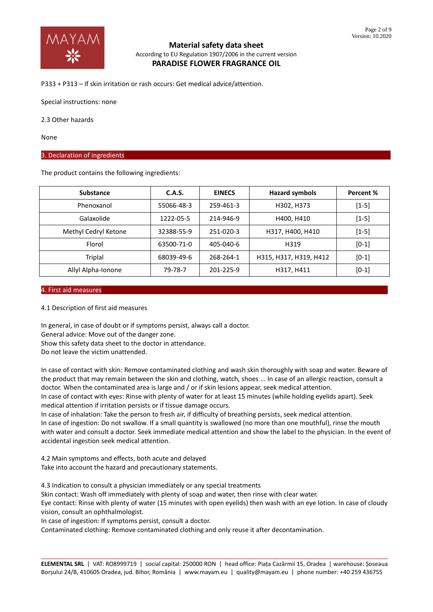

P333 + P313 – If skin irritation or rash occurs: Get medical advice/attention.

Special instructions: none

2.3 Other hazards

None

#### 3. Declaration of ingredients

The product contains the following ingredients:

| <b>Substance</b>     | C.A.S.     | <b>EINECS</b> | <b>Hazard symbols</b>  | Percent % |
|----------------------|------------|---------------|------------------------|-----------|
| Phenoxanol           | 55066-48-3 | 259-461-3     | H302, H373             | $[1-5]$   |
| Galaxolide           | 1222-05-5  | 214-946-9     | H400, H410             | $[1-5]$   |
| Methyl Cedryl Ketone | 32388-55-9 | 251-020-3     | H317, H400, H410       | $[1-5]$   |
| Florol               | 63500-71-0 | 405-040-6     | H319                   | $[0-1]$   |
| Triplal              | 68039-49-6 | 268-264-1     | H315, H317, H319, H412 | $[0-1]$   |
| Allyl Alpha-Ionone   | 79-78-7    | 201-225-9     | H317, H411             | $[0-1]$   |

#### 4. First aid measures………………………………………………………………………………………………………………………………………………………

#### 4.1 Description of first aid measures

In general, in case of doubt or if symptoms persist, always call a doctor. General advice: Move out of the danger zone. Show this safety data sheet to the doctor in attendance. Do not leave the victim unattended.

In case of contact with skin: Remove contaminated clothing and wash skin thoroughly with soap and water. Beware of the product that may remain between the skin and clothing, watch, shoes ... In case of an allergic reaction, consult a doctor. When the contaminated area is large and / or if skin lesions appear, seek medical attention.

In case of contact with eyes: Rinse with plenty of water for at least 15 minutes (while holding eyelids apart). Seek medical attention if irritation persists or if tissue damage occurs.

In case of inhalation: Take the person to fresh air, if difficulty of breathing persists, seek medical attention.

In case of ingestion: Do not swallow. If a small quantity is swallowed (no more than one mouthful), rinse the mouth with water and consult a doctor. Seek immediate medical attention and show the label to the physician. In the event of accidental ingestion seek medical attention.

4.2 Main symptoms and effects, both acute and delayed Take into account the hazard and precautionary statements.

4.3 Indication to consult a physician immediately or any special treatments

Skin contact: Wash off immediately with plenty of soap and water, then rinse with clear water.

Eye contact: Rinse with plenty of water (15 minutes with open eyelids) then wash with an eye lotion. In case of cloudy vision, consult an ophthalmologist.

In case of ingestion: If symptoms persist, consult a doctor.

Contaminated clothing: Remove contaminated clothing and only reuse it after decontamination.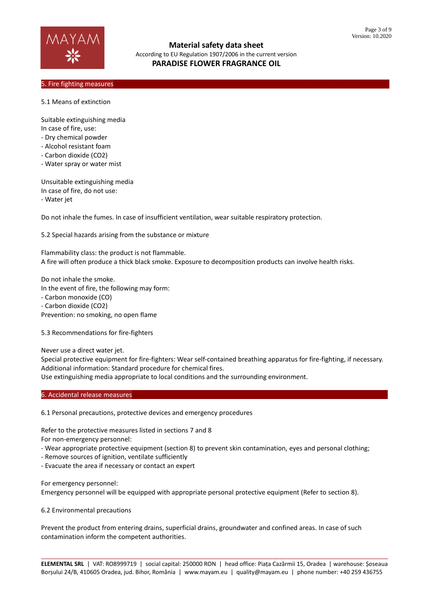

#### 5. Fire fighting measures

5.1 Means of extinction

Suitable extinguishing media In case of fire, use:

- Dry chemical powder
- Alcohol resistant foam
- Carbon dioxide (CO2)
- Water spray or water mist

Unsuitable extinguishing media In case of fire, do not use: - Water jet

Do not inhale the fumes. In case of insufficient ventilation, wear suitable respiratory protection.

5.2 Special hazards arising from the substance or mixture

Flammability class: the product is not flammable. A fire will often produce a thick black smoke. Exposure to decomposition products can involve health risks.

Do not inhale the smoke. In the event of fire, the following may form: - Carbon monoxide (CO) - Carbon dioxide (CO2) Prevention: no smoking, no open flame

5.3 Recommendations for fire-fighters

Never use a direct water jet.

Special protective equipment for fire-fighters: Wear self-contained breathing apparatus for fire-fighting, if necessary. Additional information: Standard procedure for chemical fires.

Use extinguishing media appropriate to local conditions and the surrounding environment.

#### 6. Accidental release measures

6.1 Personal precautions, protective devices and emergency procedures

Refer to the protective measures listed in sections 7 and 8

For non-emergency personnel:

- Wear appropriate protective equipment (section 8) to prevent skin contamination, eyes and personal clothing;

- Remove sources of ignition, ventilate sufficiently

- Evacuate the area if necessary or contact an expert

For emergency personnel:

Emergency personnel will be equipped with appropriate personal protective equipment (Refer to section 8).

6.2 Environmental precautions

Prevent the product from entering drains, superficial drains, groundwater and confined areas. In case of such contamination inform the competent authorities.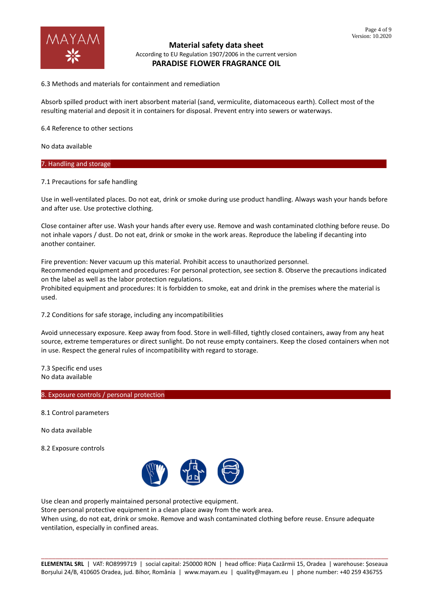

6.3 Methods and materials for containment and remediation

Absorb spilled product with inert absorbent material (sand, vermiculite, diatomaceous earth). Collect most of the resulting material and deposit it in containers for disposal. Prevent entry into sewers or waterways.

6.4 Reference to other sections

No data available

#### 7. Handling and storage

7.1 Precautions for safe handling

Use in well-ventilated places. Do not eat, drink or smoke during use product handling. Always wash your hands before and after use. Use protective clothing.

Close container after use. Wash your hands after every use. Remove and wash contaminated clothing before reuse. Do not inhale vapors / dust. Do not eat, drink or smoke in the work areas. Reproduce the labeling if decanting into another container.

Fire prevention: Never vacuum up this material. Prohibit access to unauthorized personnel. Recommended equipment and procedures: For personal protection, see section 8. Observe the precautions indicated on the label as well as the labor protection regulations. Prohibited equipment and procedures: It is forbidden to smoke, eat and drink in the premises where the material is used.

7.2 Conditions for safe storage, including any incompatibilities

Avoid unnecessary exposure. Keep away from food. Store in well-filled, tightly closed containers, away from any heat source, extreme temperatures or direct sunlight. Do not reuse empty containers. Keep the closed containers when not in use. Respect the general rules of incompatibility with regard to storage.

7.3 Specific end uses No data available

#### 8. Exposure controls / personal protection

8.1 Control parameters

No data available

8.2 Exposure controls



Use clean and properly maintained personal protective equipment.

Store personal protective equipment in a clean place away from the work area.

When using, do not eat, drink or smoke. Remove and wash contaminated clothing before reuse. Ensure adequate ventilation, especially in confined areas.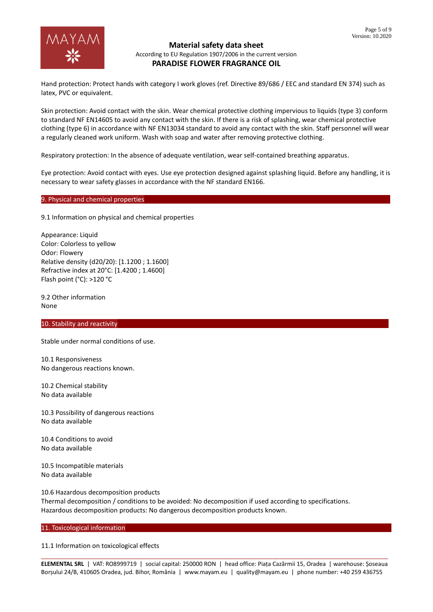

Hand protection: Protect hands with category I work gloves (ref. Directive 89/686 / EEC and standard EN 374) such as latex, PVC or equivalent.

Skin protection: Avoid contact with the skin. Wear chemical protective clothing impervious to liquids (type 3) conform to standard NF EN14605 to avoid any contact with the skin. If there is a risk of splashing, wear chemical protective clothing (type 6) in accordance with NF EN13034 standard to avoid any contact with the skin. Staff personnel will wear a regularly cleaned work uniform. Wash with soap and water after removing protective clothing.

Respiratory protection: In the absence of adequate ventilation, wear self-contained breathing apparatus.

Eye protection: Avoid contact with eyes. Use eye protection designed against splashing liquid. Before any handling, it is necessary to wear safety glasses in accordance with the NF standard EN166.

#### 9. Physical and chemical properties

9.1 Information on physical and chemical properties

Appearance: Liquid Color: Colorless to yellow Odor: Flowery Relative density (d20/20): [1.1200 ; 1.1600] Refractive index at 20°C: [1.4200 ; 1.4600] Flash point (°C): >120 °C

9.2 Other information None

10. Stability and reactivity

Stable under normal conditions of use.

10.1 Responsiveness No dangerous reactions known.

10.2 Chemical stability No data available

10.3 Possibility of dangerous reactions No data available

10.4 Conditions to avoid No data available

10.5 Incompatible materials No data available

10.6 Hazardous decomposition products Thermal decomposition / conditions to be avoided: No decomposition if used according to specifications. Hazardous decomposition products: No dangerous decomposition products known.

11. Toxicological information

11.1 Information on toxicological effects

\_\_\_\_\_\_\_\_\_\_\_\_\_\_\_\_\_\_\_\_\_\_\_\_\_\_\_\_\_\_\_\_\_\_\_\_\_\_\_\_\_\_\_\_\_\_\_\_\_\_\_\_\_\_\_\_\_\_\_\_\_\_\_\_\_\_\_\_\_\_\_\_\_\_\_\_\_\_\_\_\_\_\_\_\_\_\_\_\_\_\_\_\_\_\_\_ **ELEMENTAL SRL** | VAT: RO8999719 | social capital: 250000 RON | head office: Piața Cazărmii 15, Oradea | warehouse: Șoseaua Borșului 24/B, 410605 Oradea, jud. Bihor, România | www.mayam.eu | quality@mayam.eu | phone number: +40 259 436755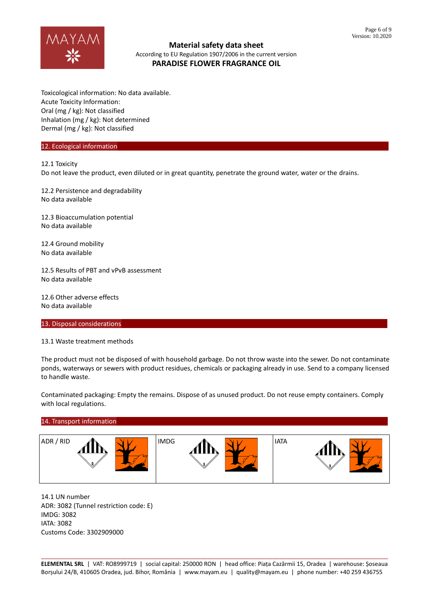

Toxicological information: No data available. Acute Toxicity Information: Oral (mg / kg): Not classified Inhalation (mg / kg): Not determined Dermal (mg / kg): Not classified

#### 12. Ecological information

12.1 Toxicity

Do not leave the product, even diluted or in great quantity, penetrate the ground water, water or the drains.

12.2 Persistence and degradability No data available

12.3 Bioaccumulation potential No data available

12.4 Ground mobility No data available

12.5 Results of PBT and vPvB assessment No data available

12.6 Other adverse effects No data available

13. Disposal considerations

13.1 Waste treatment methods

The product must not be disposed of with household garbage. Do not throw waste into the sewer. Do not contaminate ponds, waterways or sewers with product residues, chemicals or packaging already in use. Send to a company licensed to handle waste.

Contaminated packaging: Empty the remains. Dispose of as unused product. Do not reuse empty containers. Comply with local regulations.

# 14. Transport information ADR/RID  $\bigwedge \bigvee V$  | IMDG  $\bigwedge \bigvee V$  | IATA

14.1 UN number ADR: 3082 (Tunnel restriction code: E) IMDG: 3082 IATA: 3082 Customs Code: 3302909000

\_\_\_\_\_\_\_\_\_\_\_\_\_\_\_\_\_\_\_\_\_\_\_\_\_\_\_\_\_\_\_\_\_\_\_\_\_\_\_\_\_\_\_\_\_\_\_\_\_\_\_\_\_\_\_\_\_\_\_\_\_\_\_\_\_\_\_\_\_\_\_\_\_\_\_\_\_\_\_\_\_\_\_\_\_\_\_\_\_\_\_\_\_\_\_\_ **ELEMENTAL SRL** | VAT: RO8999719 | social capital: 250000 RON | head office: Piața Cazărmii 15, Oradea | warehouse: Șoseaua Borșului 24/B, 410605 Oradea, jud. Bihor, România | www.mayam.eu | quality@mayam.eu | phone number: +40 259 436755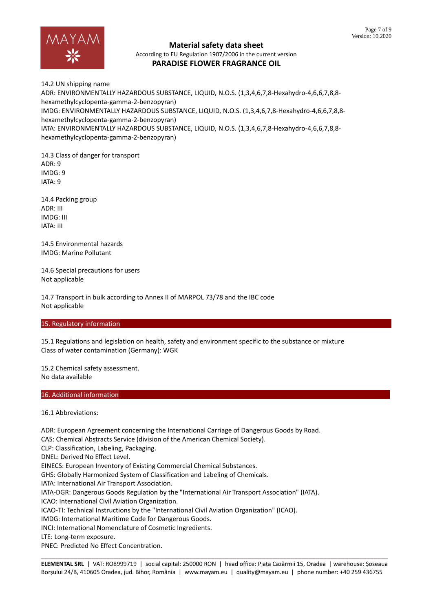

# **Material safety data sheet** According to EU Regulation 1907/2006 in the current version

## **PARADISE FLOWER FRAGRANCE OIL**

14.2 UN shipping name ADR: ENVIRONMENTALLY HAZARDOUS SUBSTANCE, LIQUID, N.O.S. (1,3,4,6,7,8-Hexahydro-4,6,6,7,8,8 hexamethylcyclopenta-gamma-2-benzopyran) IMDG: ENVIRONMENTALLY HAZARDOUS SUBSTANCE, LIQUID, N.O.S. (1,3,4,6,7,8-Hexahydro-4,6,6,7,8,8 hexamethylcyclopenta-gamma-2-benzopyran) IATA: ENVIRONMENTALLY HAZARDOUS SUBSTANCE, LIQUID, N.O.S. (1,3,4,6,7,8-Hexahydro-4,6,6,7,8,8 hexamethylcyclopenta-gamma-2-benzopyran)

14.3 Class of danger for transport  $ADR \cdot 9$ IMDG: 9 IATA: 9

14.4 Packing group ADR: III IMDG: III IATA: III

14.5 Environmental hazards IMDG: Marine Pollutant

14.6 Special precautions for users Not applicable

14.7 Transport in bulk according to Annex II of MARPOL 73/78 and the IBC code Not applicable

#### 15. Regulatory information

15.1 Regulations and legislation on health, safety and environment specific to the substance or mixture Class of water contamination (Germany): WGK

15.2 Chemical safety assessment. No data available

#### 16. Additional information

16.1 Abbreviations:

\_\_\_\_\_\_\_\_\_\_\_\_\_\_\_\_\_\_\_\_\_\_\_\_\_\_\_\_\_\_\_\_\_\_\_\_\_\_\_\_\_\_\_\_\_\_\_\_\_\_\_\_\_\_\_\_\_\_\_\_\_\_\_\_\_\_\_\_\_\_\_\_\_\_\_\_\_\_\_\_\_\_\_\_\_\_\_\_\_\_\_\_\_\_\_\_ ADR: European Agreement concerning the International Carriage of Dangerous Goods by Road. CAS: Chemical Abstracts Service (division of the American Chemical Society). CLP: Classification, Labeling, Packaging. DNEL: Derived No Effect Level. EINECS: European Inventory of Existing Commercial Chemical Substances. GHS: Globally Harmonized System of Classification and Labeling of Chemicals. IATA: International Air Transport Association. IATA-DGR: Dangerous Goods Regulation by the "International Air Transport Association" (IATA). ICAO: International Civil Aviation Organization. ICAO-TI: Technical Instructions by the "International Civil Aviation Organization" (ICAO). IMDG: International Maritime Code for Dangerous Goods. INCI: International Nomenclature of Cosmetic Ingredients. LTE: Long-term exposure. PNEC: Predicted No Effect Concentration.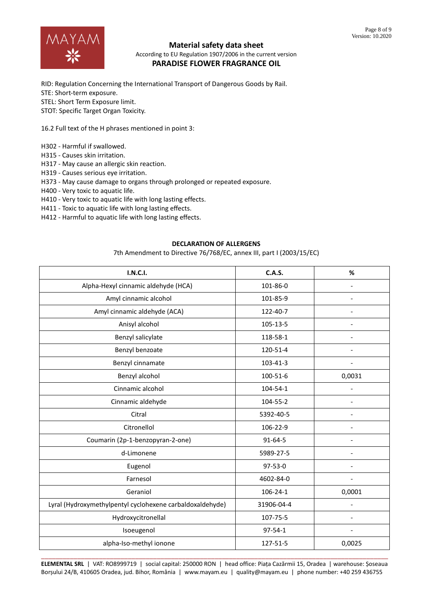

# **Material safety data sheet**

According to EU Regulation 1907/2006 in the current version **PARADISE FLOWER FRAGRANCE OIL**

RID: Regulation Concerning the International Transport of Dangerous Goods by Rail. STE: Short-term exposure. STEL: Short Term Exposure limit. STOT: Specific Target Organ Toxicity.

16.2 Full text of the H phrases mentioned in point 3:

- H302 Harmful if swallowed.
- H315 Causes skin irritation.
- H317 May cause an allergic skin reaction.
- H319 Causes serious eye irritation.
- H373 May cause damage to organs through prolonged or repeated exposure.
- H400 Very toxic to aquatic life.
- H410 Very toxic to aquatic life with long lasting effects.
- H411 Toxic to aquatic life with long lasting effects.
- H412 Harmful to aquatic life with long lasting effects.

#### **DECLARATION OF ALLERGENS**

7th Amendment to Directive 76/768/EC, annex III, part I (2003/15/EC)

| <b>I.N.C.I.</b>                                           | C.A.S.         | %                        |
|-----------------------------------------------------------|----------------|--------------------------|
| Alpha-Hexyl cinnamic aldehyde (HCA)                       | 101-86-0       |                          |
| Amyl cinnamic alcohol                                     | 101-85-9       |                          |
| Amyl cinnamic aldehyde (ACA)                              | 122-40-7       | $\overline{a}$           |
| Anisyl alcohol                                            | 105-13-5       |                          |
| Benzyl salicylate                                         | 118-58-1       |                          |
| Benzyl benzoate                                           | 120-51-4       | $\overline{\phantom{0}}$ |
| Benzyl cinnamate                                          | 103-41-3       |                          |
| Benzyl alcohol                                            | $100 - 51 - 6$ | 0,0031                   |
| Cinnamic alcohol                                          | 104-54-1       |                          |
| Cinnamic aldehyde                                         | 104-55-2       |                          |
| Citral                                                    | 5392-40-5      |                          |
| Citronellol                                               | 106-22-9       |                          |
| Coumarin (2p-1-benzopyran-2-one)                          | $91 - 64 - 5$  | $\overline{\phantom{0}}$ |
| d-Limonene                                                | 5989-27-5      |                          |
| Eugenol                                                   | $97 - 53 - 0$  |                          |
| Farnesol                                                  | 4602-84-0      | $\overline{\phantom{0}}$ |
| Geraniol                                                  | $106 - 24 - 1$ | 0,0001                   |
| Lyral (Hydroxymethylpentyl cyclohexene carbaldoxaldehyde) | 31906-04-4     |                          |
| Hydroxycitronellal                                        | 107-75-5       | $\overline{\phantom{0}}$ |
| Isoeugenol                                                | $97 - 54 - 1$  |                          |
| alpha-Iso-methyl ionone                                   | 127-51-5       | 0,0025                   |

\_\_\_\_\_\_\_\_\_\_\_\_\_\_\_\_\_\_\_\_\_\_\_\_\_\_\_\_\_\_\_\_\_\_\_\_\_\_\_\_\_\_\_\_\_\_\_\_\_\_\_\_\_\_\_\_\_\_\_\_\_\_\_\_\_\_\_\_\_\_\_\_\_\_\_\_\_\_\_\_\_\_\_\_\_\_\_\_\_\_\_\_\_\_\_\_ **ELEMENTAL SRL** | VAT: RO8999719 | social capital: 250000 RON | head office: Piața Cazărmii 15, Oradea | warehouse: Șoseaua Borșului 24/B, 410605 Oradea, jud. Bihor, România | www.mayam.eu | quality@mayam.eu | phone number: +40 259 436755